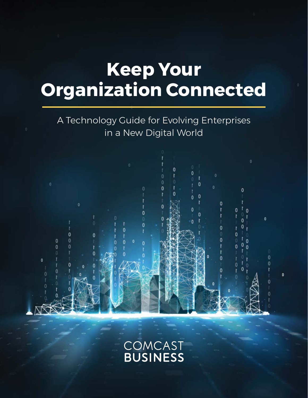# **Keep Your Organization Connected**

A Technology Guide for Evolving Enterprises in a New Digital World

 $\ddot{\mathbf{0}}$ 

 $\mathbf{0}$  $\overline{0}$  O

0

0

ö

O

0

 $\mathbf{0}$ 

 $\overline{0}$  $\overline{0}$ 

 $\mathbf{0}$ 

n

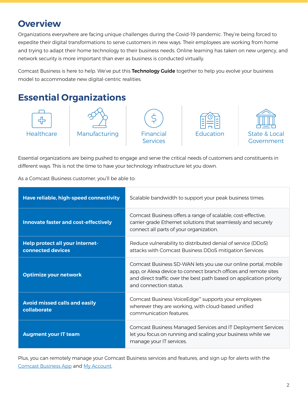# **Overview**

Organizations everywhere are facing unique challenges during the Covid-19 pandemic. They're being forced to expedite their digital transformations to serve customers in new ways. Their employees are working from home and trying to adapt their home technology to their business needs. Online learning has taken on new urgency, and network security is more important than ever as business is conducted virtually.

Comcast Business is here to help. We've put this Technology Guide together to help you evolve your business model to accommodate new digital-centric realities.

# **Essential Organizations**



Essential organizations are being pushed to engage and serve the critical needs of customers and constituents in different ways. This is not the time to have your technology infrastructure let you down.

As a Comcast Business customer, you'll be able to:

| Have reliable, high-speed connectivity                      | Scalable bandwidth to support your peak business times.                                                                                                                                                                            |  |
|-------------------------------------------------------------|------------------------------------------------------------------------------------------------------------------------------------------------------------------------------------------------------------------------------------|--|
| <b>Innovate faster and cost-effectively</b>                 | Comcast Business offers a range of scalable, cost-effective,<br>carrier-grade Ethernet solutions that seamlessly and securely<br>connect all parts of your organization.                                                           |  |
| <b>Help protect all your internet-</b><br>connected devices | Reduce vulnerability to distributed denial of service (DDoS)<br>attacks with Comcast Business DDoS mitigation Services.                                                                                                            |  |
| <b>Optimize your network</b>                                | Comcast Business SD-WAN lets you use our online portal, mobile<br>app, or Alexa device to connect branch offices and remote sites<br>and direct traffic over the best path based on application priority<br>and connection status. |  |
| <b>Avoid missed calls and easily</b><br>collaborate         | Comcast Business VoiceEdge <sup>™</sup> supports your employees<br>wherever they are working, with cloud-based unified<br>communication features.                                                                                  |  |
| <b>Augment your IT team</b>                                 | Comcast Business Managed Services and IT Deployment Services<br>let you focus on running and scaling your business while we<br>manage your IT services.                                                                            |  |

Plus, you can remotely manage your Comcast Business services and features, and sign up for alerts with the [Comcast Business App](https://business.comcast.com/landingpage/comcast-business-app) and [My Account.](https://business.comcast.com/account/)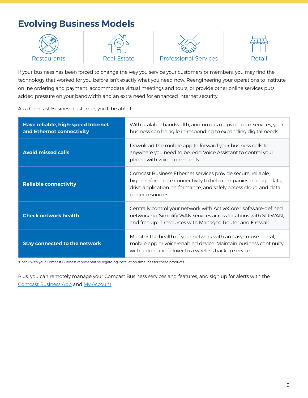# **Evolving Business Models**









If your business has been forced to change the way you service your customers or members, you may find the technology that worked for you before isn't exactly what you need now. Reengineering your operations to institute online ordering and payment, accommodate virtual meetings and tours, or provide other online services puts added pressure on your bandwidth and an extra need for enhanced internet security.

As a Comcast Business customer, you'll be able to:

| Have reliable, high-speed Internet<br>and Ethernet connectivity | With scalable bandwidth, and no data caps on coax services, your<br>business can be agile in responding to expanding digital needs.                                                                                  |
|-----------------------------------------------------------------|----------------------------------------------------------------------------------------------------------------------------------------------------------------------------------------------------------------------|
| <b>Avoid missed calls</b>                                       | Download the mobile app to forward your business calls to<br>anywhere you need to be. Add Voice Assistant to control your<br>phone with voice commands.                                                              |
| <b>Reliable connectivity</b>                                    | Comcast Business Ethernet services provide secure, reliable,<br>high-performance connectivity to help companies manage data,<br>drive application performance, and safely access cloud and data<br>center resources. |
| <b>Check network health</b>                                     | Centrally control your network with ActiveCore <sup>™</sup> software-defined<br>networking. Simplify WAN services across locations with SD-WAN,<br>and free up IT resources with Managed Router and Firewall.        |
| <b>Stay connected to the network</b>                            | Monitor the health of your network with an easy-to-use portal,<br>mobile app or voice-enabled device. Maintain business continuity<br>with automatic failover to a wireless backup service.                          |

\*Check with your Comcast Business representative regarding installation timelines for these products.

Plus, you can remotely manage your Comcast Business services and features, and sign up for alerts with the [Comcast Business App](https://business.comcast.com/landingpage/comcast-business-app) and [My Account.](https://business.comcast.com/account/)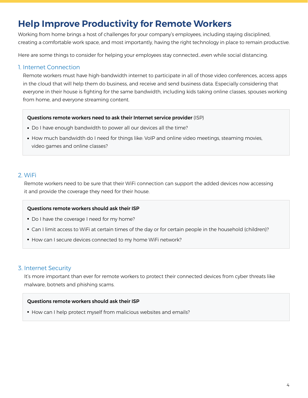### **Help Improve Productivity for Remote Workers**

Working from home brings a host of challenges for your company's employees, including staying disciplined, creating a comfortable work space, and most importantly, having the right technology in place to remain productive.

Here are some things to consider for helping your employees stay connected...even while social distancing.

#### 1. Internet Connection

Remote workers must have high-bandwidth internet to participate in all of those video conferences, access apps in the cloud that will help them do business, and receive and send business data. Especially considering that everyone in their house is fighting for the same bandwidth, including kids taking online classes, spouses working from home, and everyone streaming content.

#### Questions remote workers need to ask their Internet service provider (ISP)

- Do I have enough bandwidth to power all our devices all the time?
- How much bandwidth do I need for things like: VoIP and online video meetings, steaming movies, video games and online classes?

#### 2. WiFi

Remote workers need to be sure that their WiFi connection can support the added devices now accessing it and provide the coverage they need for their house.

#### Questions remote workers should ask their ISP

- Do I have the coverage I need for my home?
- Can I limit access to WiFi at certain times of the day or for certain people in the household (children)?
- How can I secure devices connected to my home WiFi network?

#### 3. Internet Security

It's more important than ever for remote workers to protect their connected devices from cyber threats like malware, botnets and phishing scams.

#### Questions remote workers should ask their ISP

• How can I help protect myself from malicious websites and emails?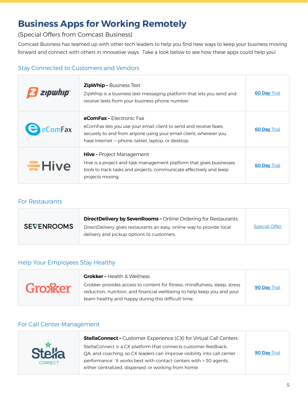# **Business Apps for Working Remotely**

(Special Offers from Comcast Business)

Comcast Business has teamed up with other tech leaders to help you find new ways to keep your business moving forward and connect with others in innovative ways. Take a look below to see how these apps could help you!

### Stay Connected to Customers and Vendors

| zipwhip                       | <b>ZipWhip - Business Text</b><br>ZipWhip is a business text messaging platform that lets you send and<br>receive texts from your business phone number.                                                                       | <b>60 Day Trial</b> |
|-------------------------------|--------------------------------------------------------------------------------------------------------------------------------------------------------------------------------------------------------------------------------|---------------------|
| $\blacktriangleright$ eComFax | <b>eComFax - Electronic Fax</b><br>eComFax lets you use your email client to send and receive faxes<br>securely to and from anyone using your email client, wherever you<br>have Internet – phone, tablet, laptop, or desktop. | <b>60 Day Trial</b> |
| Hive                          | <b>Hive - Project Management</b><br>Hive is a project and task management platform that gives businesses<br>tools to track tasks and projects, communicate effectively and keep<br>projects moving.                            | <b>60 Day Trial</b> |

### For Restaurants

| <b>SEVENROOMS</b> | <b>DirectDelivery by SevenRooms - Online Ordering for Restaurants</b><br>DirectDelivery gives restaurants an easy, online way to provide local<br>delivery and pickup options to customers. | <b>Special Offer</b> |
|-------------------|---------------------------------------------------------------------------------------------------------------------------------------------------------------------------------------------|----------------------|
|                   |                                                                                                                                                                                             |                      |

### Help Your Employees Stay Healthy

|         | <b>Grokker - Health &amp; Wellness</b>                                                                                                                                                                      |              |
|---------|-------------------------------------------------------------------------------------------------------------------------------------------------------------------------------------------------------------|--------------|
| Grosker | Grokker provides access to content for fitness, mindfulness, sleep, stress<br>reduction, nutrition, and financial wellbeing to help keep you and your<br>team healthy and happy during this difficult time. | 90 Day Trial |

### For Call Center Management



**StellaConnect –** Customer Experience (CX) for Virtual Call Centers StellaConnect is a CX platform that connects customer feedback, QA, and coaching, so CX leaders can improve visibility into call center performance. It works best with contact centers with > 30 agents, either centralized, dispersed, or working from home. **[90 Day](https://stellaconnect.com/) Trial**